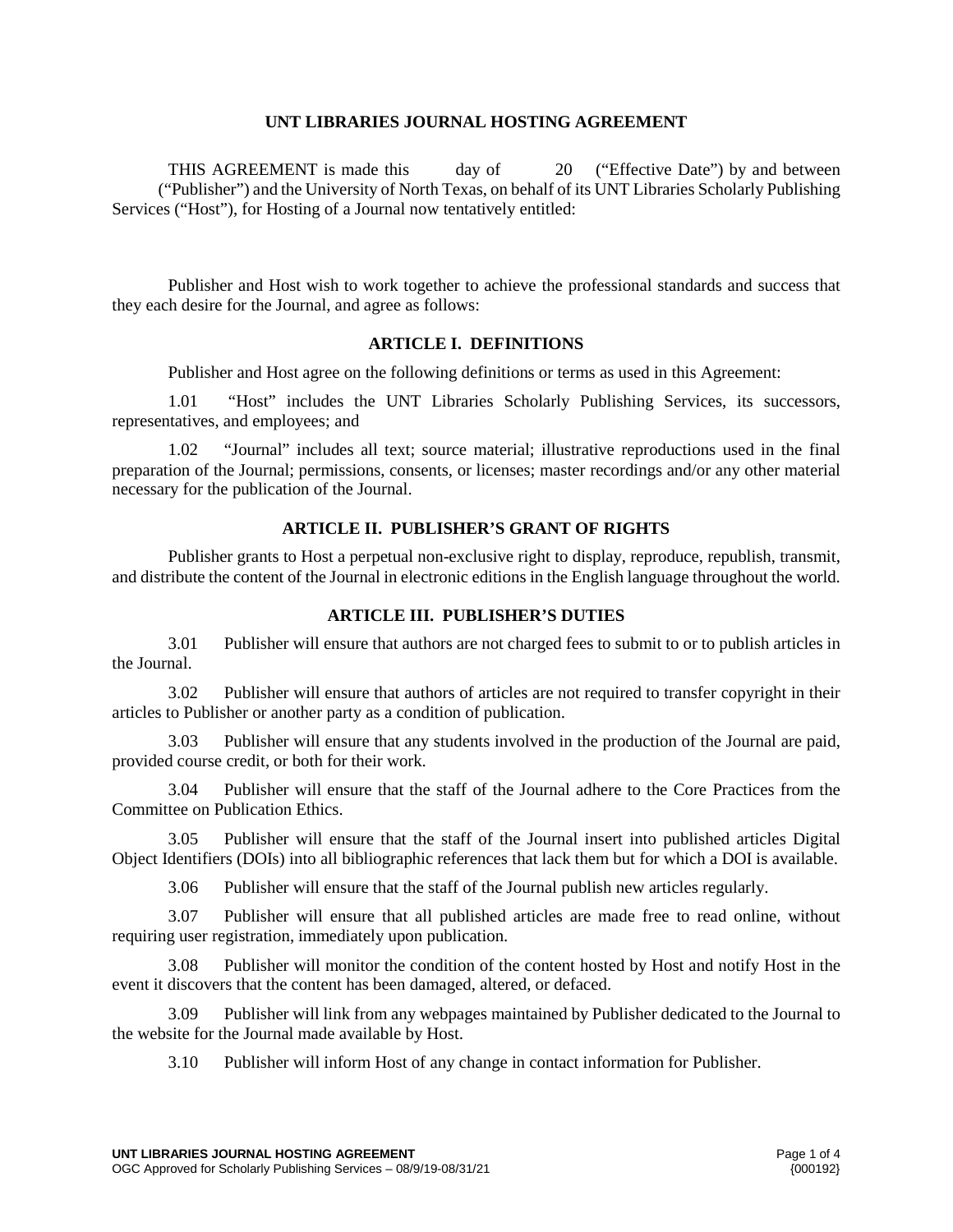#### **UNT LIBRARIES JOURNAL HOSTING AGREEMENT**

THIS AGREEMENT is made this day of 20 ("Effective Date") by and between ("Publisher") and the University of North Texas, on behalf of its UNT Libraries Scholarly Publishing Services ("Host"), for Hosting of a Journal now tentatively entitled:

Publisher and Host wish to work together to achieve the professional standards and success that they each desire for the Journal, and agree as follows:

## **ARTICLE I. DEFINITIONS**

Publisher and Host agree on the following definitions or terms as used in this Agreement:

1.01 "Host" includes the UNT Libraries Scholarly Publishing Services, its successors, representatives, and employees; and

1.02 "Journal" includes all text; source material; illustrative reproductions used in the final preparation of the Journal; permissions, consents, or licenses; master recordings and/or any other material necessary for the publication of the Journal.

#### **ARTICLE II. PUBLISHER'S GRANT OF RIGHTS**

Publisher grants to Host a perpetual non-exclusive right to display, reproduce, republish, transmit, and distribute the content of the Journal in electronic editions in the English language throughout the world.

#### **ARTICLE III. PUBLISHER'S DUTIES**

3.01 Publisher will ensure that authors are not charged fees to submit to or to publish articles in the Journal.

3.02 Publisher will ensure that authors of articles are not required to transfer copyright in their articles to Publisher or another party as a condition of publication.

3.03 Publisher will ensure that any students involved in the production of the Journal are paid, provided course credit, or both for their work.

3.04 Publisher will ensure that the staff of the Journal adhere to the Core Practices from the Committee on Publication Ethics.

3.05 Publisher will ensure that the staff of the Journal insert into published articles Digital Object Identifiers (DOIs) into all bibliographic references that lack them but for which a DOI is available.

3.06 Publisher will ensure that the staff of the Journal publish new articles regularly.

3.07 Publisher will ensure that all published articles are made free to read online, without requiring user registration, immediately upon publication.

3.08 Publisher will monitor the condition of the content hosted by Host and notify Host in the event it discovers that the content has been damaged, altered, or defaced.

3.09 Publisher will link from any webpages maintained by Publisher dedicated to the Journal to the website for the Journal made available by Host.

3.10 Publisher will inform Host of any change in contact information for Publisher.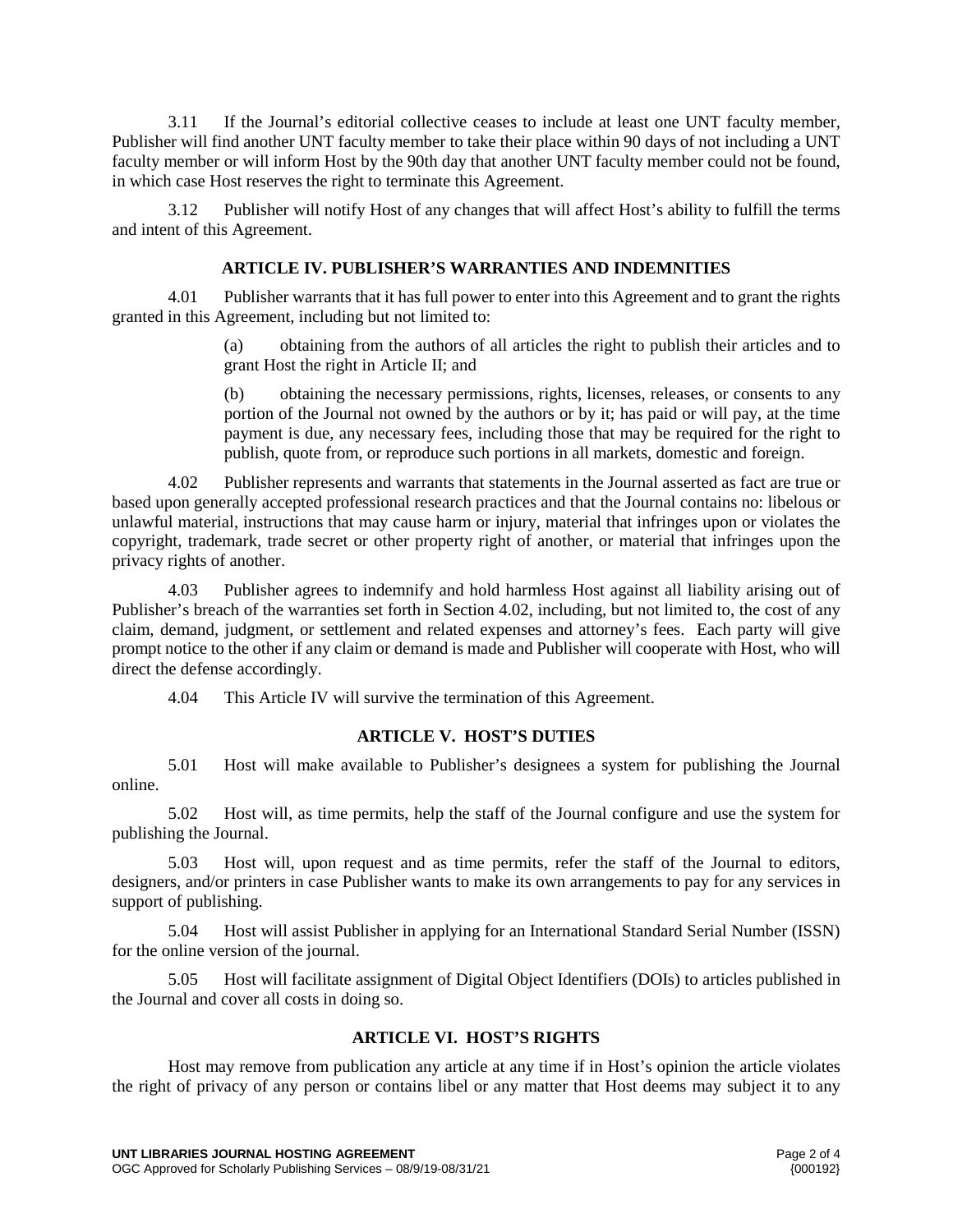3.11 If the Journal's editorial collective ceases to include at least one UNT faculty member, Publisher will find another UNT faculty member to take their place within 90 days of not including a UNT faculty member or will inform Host by the 90th day that another UNT faculty member could not be found, in which case Host reserves the right to terminate this Agreement.

3.12 Publisher will notify Host of any changes that will affect Host's ability to fulfill the terms and intent of this Agreement.

## **ARTICLE IV. PUBLISHER'S WARRANTIES AND INDEMNITIES**

4.01 Publisher warrants that it has full power to enter into this Agreement and to grant the rights granted in this Agreement, including but not limited to:

> (a) obtaining from the authors of all articles the right to publish their articles and to grant Host the right in Article II; and

> (b) obtaining the necessary permissions, rights, licenses, releases, or consents to any portion of the Journal not owned by the authors or by it; has paid or will pay, at the time payment is due, any necessary fees, including those that may be required for the right to publish, quote from, or reproduce such portions in all markets, domestic and foreign.

4.02 Publisher represents and warrants that statements in the Journal asserted as fact are true or based upon generally accepted professional research practices and that the Journal contains no: libelous or unlawful material, instructions that may cause harm or injury, material that infringes upon or violates the copyright, trademark, trade secret or other property right of another, or material that infringes upon the privacy rights of another.

4.03 Publisher agrees to indemnify and hold harmless Host against all liability arising out of Publisher's breach of the warranties set forth in Section 4.02, including, but not limited to, the cost of any claim, demand, judgment, or settlement and related expenses and attorney's fees. Each party will give prompt notice to the other if any claim or demand is made and Publisher will cooperate with Host, who will direct the defense accordingly.

4.04 This Article IV will survive the termination of this Agreement.

# **ARTICLE V. HOST'S DUTIES**

5.01 Host will make available to Publisher's designees a system for publishing the Journal online.

5.02 Host will, as time permits, help the staff of the Journal configure and use the system for publishing the Journal.

5.03 Host will, upon request and as time permits, refer the staff of the Journal to editors, designers, and/or printers in case Publisher wants to make its own arrangements to pay for any services in support of publishing.

5.04 Host will assist Publisher in applying for an International Standard Serial Number (ISSN) for the online version of the journal.

5.05 Host will facilitate assignment of Digital Object Identifiers (DOIs) to articles published in the Journal and cover all costs in doing so.

# **ARTICLE VI. HOST'S RIGHTS**

Host may remove from publication any article at any time if in Host's opinion the article violates the right of privacy of any person or contains libel or any matter that Host deems may subject it to any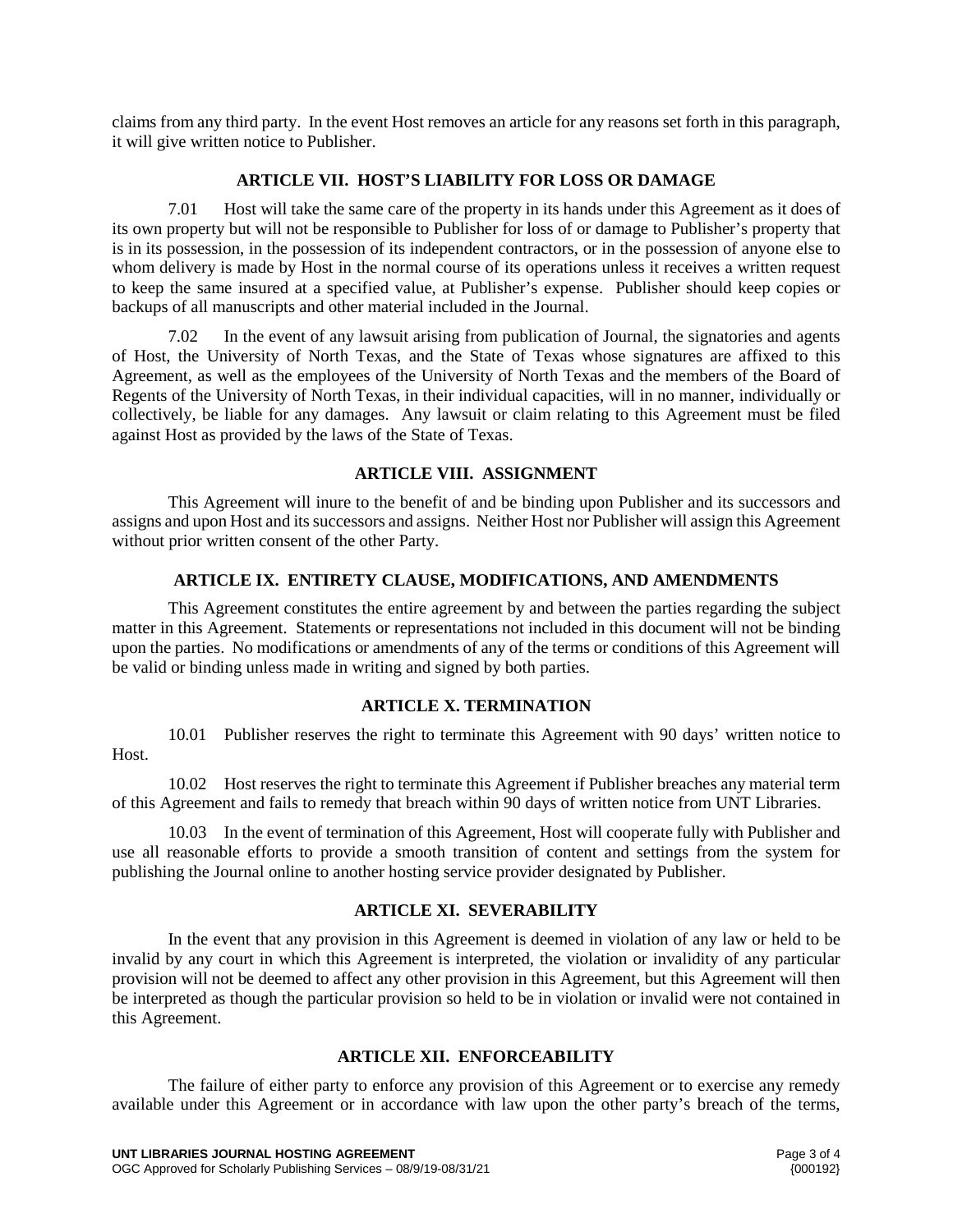claims from any third party. In the event Host removes an article for any reasons set forth in this paragraph, it will give written notice to Publisher.

## **ARTICLE VII. HOST'S LIABILITY FOR LOSS OR DAMAGE**

7.01 Host will take the same care of the property in its hands under this Agreement as it does of its own property but will not be responsible to Publisher for loss of or damage to Publisher's property that is in its possession, in the possession of its independent contractors, or in the possession of anyone else to whom delivery is made by Host in the normal course of its operations unless it receives a written request to keep the same insured at a specified value, at Publisher's expense. Publisher should keep copies or backups of all manuscripts and other material included in the Journal.

7.02 In the event of any lawsuit arising from publication of Journal, the signatories and agents of Host, the University of North Texas, and the State of Texas whose signatures are affixed to this Agreement, as well as the employees of the University of North Texas and the members of the Board of Regents of the University of North Texas, in their individual capacities, will in no manner, individually or collectively, be liable for any damages. Any lawsuit or claim relating to this Agreement must be filed against Host as provided by the laws of the State of Texas.

## **ARTICLE VIII. ASSIGNMENT**

This Agreement will inure to the benefit of and be binding upon Publisher and its successors and assigns and upon Host and its successors and assigns. Neither Host nor Publisher will assign this Agreement without prior written consent of the other Party.

## **ARTICLE IX. ENTIRETY CLAUSE, MODIFICATIONS, AND AMENDMENTS**

This Agreement constitutes the entire agreement by and between the parties regarding the subject matter in this Agreement. Statements or representations not included in this document will not be binding upon the parties. No modifications or amendments of any of the terms or conditions of this Agreement will be valid or binding unless made in writing and signed by both parties.

# **ARTICLE X. TERMINATION**

10.01 Publisher reserves the right to terminate this Agreement with 90 days' written notice to Host.

10.02 Host reserves the right to terminate this Agreement if Publisher breaches any material term of this Agreement and fails to remedy that breach within 90 days of written notice from UNT Libraries.

10.03 In the event of termination of this Agreement, Host will cooperate fully with Publisher and use all reasonable efforts to provide a smooth transition of content and settings from the system for publishing the Journal online to another hosting service provider designated by Publisher.

## **ARTICLE XI. SEVERABILITY**

In the event that any provision in this Agreement is deemed in violation of any law or held to be invalid by any court in which this Agreement is interpreted, the violation or invalidity of any particular provision will not be deemed to affect any other provision in this Agreement, but this Agreement will then be interpreted as though the particular provision so held to be in violation or invalid were not contained in this Agreement.

# **ARTICLE XII. ENFORCEABILITY**

The failure of either party to enforce any provision of this Agreement or to exercise any remedy available under this Agreement or in accordance with law upon the other party's breach of the terms,